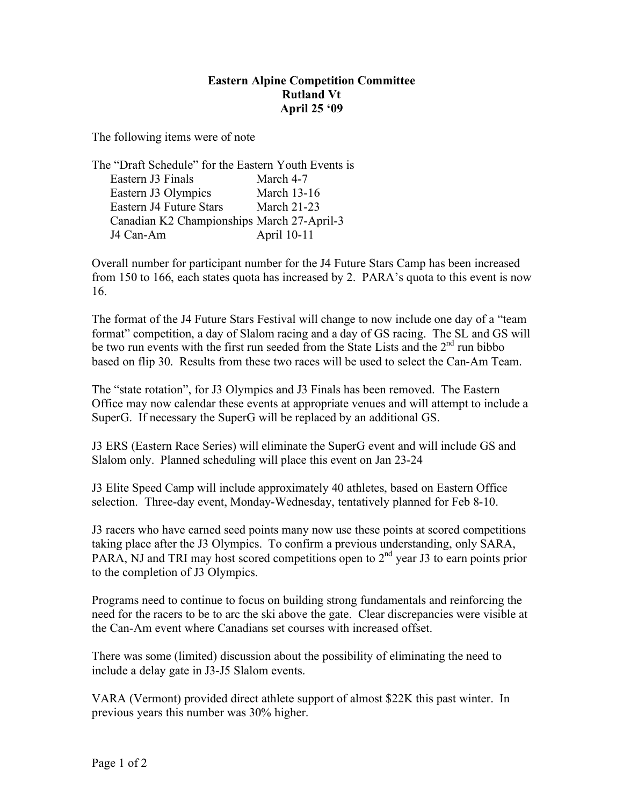## **Eastern Alpine Competition Committee Rutland Vt April 25 '09**

The following items were of note

| The "Draft Schedule" for the Eastern Youth Events is |                    |
|------------------------------------------------------|--------------------|
| Eastern J3 Finals                                    | March 4-7          |
| Eastern J3 Olympics                                  | <b>March 13-16</b> |
| Eastern J4 Future Stars                              | <b>March 21-23</b> |
| Canadian K2 Championships March 27-April-3           |                    |
| J4 Can-Am                                            | April 10-11        |

Overall number for participant number for the J4 Future Stars Camp has been increased from 150 to 166, each states quota has increased by 2. PARA's quota to this event is now 16.

The format of the J4 Future Stars Festival will change to now include one day of a "team format" competition, a day of Slalom racing and a day of GS racing. The SL and GS will be two run events with the first run seeded from the State Lists and the  $2<sup>nd</sup>$  run bibbo based on flip 30. Results from these two races will be used to select the Can-Am Team.

The "state rotation", for J3 Olympics and J3 Finals has been removed. The Eastern Office may now calendar these events at appropriate venues and will attempt to include a SuperG. If necessary the SuperG will be replaced by an additional GS.

J3 ERS (Eastern Race Series) will eliminate the SuperG event and will include GS and Slalom only. Planned scheduling will place this event on Jan 23-24

J3 Elite Speed Camp will include approximately 40 athletes, based on Eastern Office selection. Three-day event, Monday-Wednesday, tentatively planned for Feb 8-10.

J3 racers who have earned seed points many now use these points at scored competitions taking place after the J3 Olympics. To confirm a previous understanding, only SARA, PARA, NJ and TRI may host scored competitions open to 2<sup>nd</sup> year J3 to earn points prior to the completion of J3 Olympics.

Programs need to continue to focus on building strong fundamentals and reinforcing the need for the racers to be to arc the ski above the gate. Clear discrepancies were visible at the Can-Am event where Canadians set courses with increased offset.

There was some (limited) discussion about the possibility of eliminating the need to include a delay gate in J3-J5 Slalom events.

VARA (Vermont) provided direct athlete support of almost \$22K this past winter. In previous years this number was 30% higher.